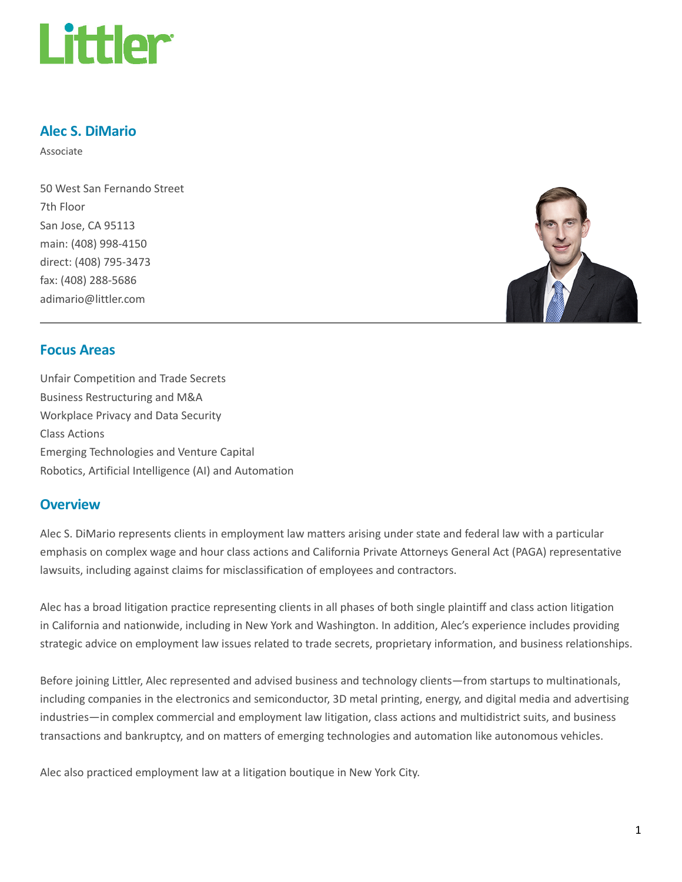

## Alec S. DiMario

Associate

50 West San Fernando Street 7th Floor San Jose, CA 95113 main: (408) 998-4150 direct: (408) 795-3473 fax: (408) 288-5686 adimario@littler.com



## Focus Areas

Unfair Competition and Trade Secrets Business Restructuring and M&A Workplace Privacy and Data Security Class Actions Emerging Technologies and Venture Capital Robotics, Artificial Intelligence (AI) and Automation

#### **Overview**

Alec S. DiMario represents clients in employment law matters arising under state and federal law with a particular emphasis on complex wage and hour class actions and California Private Attorneys General Act (PAGA) representative lawsuits, including against claims for misclassification of employees and contractors.

Alec has a broad litigation practice representing clients in all phases of both single plaintiff and class action litigation in California and nationwide, including in New York and Washington. In addition, Alec's experience includes providing strategic advice on employment law issues related to trade secrets, proprietary information, and business relationships.

Before joining Littler, Alec represented and advised business and technology clients—from startups to multinationals, including companies in the electronics and semiconductor, 3D metal printing, energy, and digital media and advertising industries—in complex commercial and employment law litigation, class actions and multidistrict suits, and business transactions and bankruptcy, and on matters of emerging technologies and automation like autonomous vehicles.

Alec also practiced employment law at a litigation boutique in New York City.